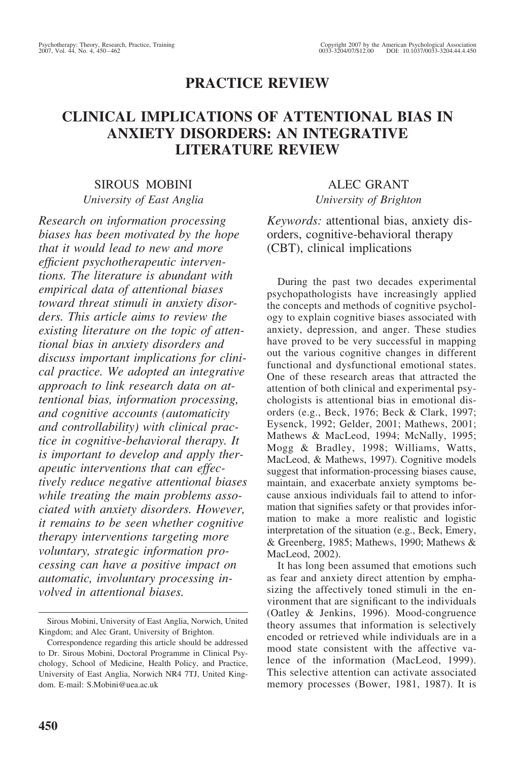# **PRACTICE REVIEW**

# **CLINICAL IMPLICATIONS OF ATTENTIONAL BIAS IN ANXIETY DISORDERS: AN INTEGRATIVE LITERATURE REVIEW**

# SIROUS MOBINI *University of East Anglia*

*Research on information processing biases has been motivated by the hope that it would lead to new and more efficient psychotherapeutic interventions. The literature is abundant with empirical data of attentional biases toward threat stimuli in anxiety disorders. This article aims to review the existing literature on the topic of attentional bias in anxiety disorders and discuss important implications for clinical practice. We adopted an integrative approach to link research data on attentional bias, information processing, and cognitive accounts (automaticity and controllability) with clinical practice in cognitive-behavioral therapy. It is important to develop and apply therapeutic interventions that can effectively reduce negative attentional biases while treating the main problems associated with anxiety disorders. However, it remains to be seen whether cognitive therapy interventions targeting more voluntary, strategic information processing can have a positive impact on automatic, involuntary processing involved in attentional biases.*

# ALEC GRANT *University of Brighton*

*Keywords:* attentional bias, anxiety disorders, cognitive-behavioral therapy (CBT), clinical implications

During the past two decades experimental psychopathologists have increasingly applied the concepts and methods of cognitive psychology to explain cognitive biases associated with anxiety, depression, and anger. These studies have proved to be very successful in mapping out the various cognitive changes in different functional and dysfunctional emotional states. One of these research areas that attracted the attention of both clinical and experimental psychologists is attentional bias in emotional disorders (e.g., Beck, 1976; Beck & Clark, 1997; Eysenck, 1992; Gelder, 2001; Mathews, 2001; Mathews & MacLeod, 1994; McNally, 1995; Mogg & Bradley, 1998; Williams, Watts, MacLeod, & Mathews, 1997). Cognitive models suggest that information-processing biases cause, maintain, and exacerbate anxiety symptoms because anxious individuals fail to attend to information that signifies safety or that provides information to make a more realistic and logistic interpretation of the situation (e.g., Beck, Emery, & Greenberg, 1985; Mathews, 1990; Mathews & MacLeod, 2002).

It has long been assumed that emotions such as fear and anxiety direct attention by emphasizing the affectively toned stimuli in the environment that are significant to the individuals (Oatley & Jenkins, 1996). Mood-congruence theory assumes that information is selectively encoded or retrieved while individuals are in a mood state consistent with the affective valence of the information (MacLeod, 1999). This selective attention can activate associated memory processes (Bower, 1981, 1987). It is

Sirous Mobini, University of East Anglia, Norwich, United Kingdom; and Alec Grant, University of Brighton.

Correspondence regarding this article should be addressed to Dr. Sirous Mobini, Doctoral Programme in Clinical Psychology, School of Medicine, Health Policy, and Practice, University of East Anglia, Norwich NR4 7TJ, United Kingdom. E-mail: S.Mobini@uea.ac.uk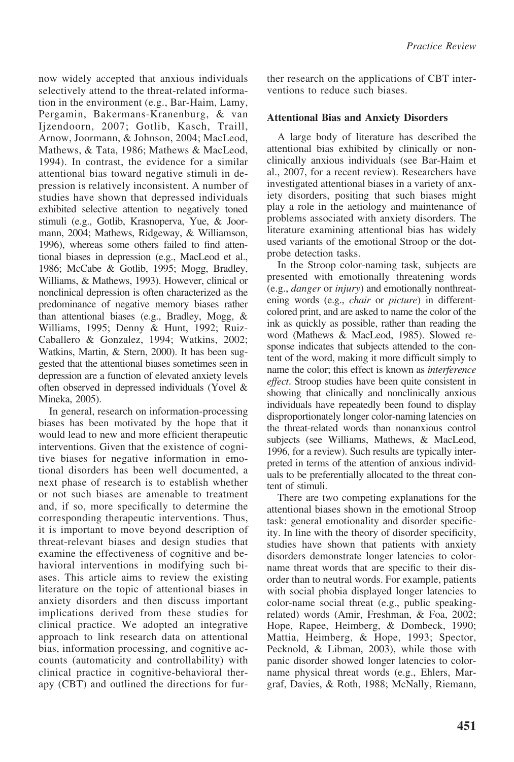now widely accepted that anxious individuals selectively attend to the threat-related information in the environment (e.g., Bar-Haim, Lamy, Pergamin, Bakermans-Kranenburg, & van Ijzendoorn, 2007; Gotlib, Kasch, Traill, Arnow, Joormann, & Johnson, 2004; MacLeod, Mathews, & Tata, 1986; Mathews & MacLeod, 1994). In contrast, the evidence for a similar attentional bias toward negative stimuli in depression is relatively inconsistent. A number of studies have shown that depressed individuals exhibited selective attention to negatively toned stimuli (e.g., Gotlib, Krasnoperva, Yue, & Joormann, 2004; Mathews, Ridgeway, & Williamson, 1996), whereas some others failed to find attentional biases in depression (e.g., MacLeod et al., 1986; McCabe & Gotlib, 1995; Mogg, Bradley, Williams, & Mathews, 1993). However, clinical or nonclinical depression is often characterized as the predominance of negative memory biases rather than attentional biases (e.g., Bradley, Mogg, & Williams, 1995; Denny & Hunt, 1992; Ruiz-Caballero & Gonzalez, 1994; Watkins, 2002; Watkins, Martin, & Stern, 2000). It has been suggested that the attentional biases sometimes seen in depression are a function of elevated anxiety levels often observed in depressed individuals (Yovel & Mineka, 2005).

In general, research on information-processing biases has been motivated by the hope that it would lead to new and more efficient therapeutic interventions. Given that the existence of cognitive biases for negative information in emotional disorders has been well documented, a next phase of research is to establish whether or not such biases are amenable to treatment and, if so, more specifically to determine the corresponding therapeutic interventions. Thus, it is important to move beyond description of threat-relevant biases and design studies that examine the effectiveness of cognitive and behavioral interventions in modifying such biases. This article aims to review the existing literature on the topic of attentional biases in anxiety disorders and then discuss important implications derived from these studies for clinical practice. We adopted an integrative approach to link research data on attentional bias, information processing, and cognitive accounts (automaticity and controllability) with clinical practice in cognitive-behavioral therapy (CBT) and outlined the directions for further research on the applications of CBT interventions to reduce such biases.

## **Attentional Bias and Anxiety Disorders**

A large body of literature has described the attentional bias exhibited by clinically or nonclinically anxious individuals (see Bar-Haim et al., 2007, for a recent review). Researchers have investigated attentional biases in a variety of anxiety disorders, positing that such biases might play a role in the aetiology and maintenance of problems associated with anxiety disorders. The literature examining attentional bias has widely used variants of the emotional Stroop or the dotprobe detection tasks.

In the Stroop color-naming task, subjects are presented with emotionally threatening words (e.g., *danger* or *injury*) and emotionally nonthreatening words (e.g., *chair* or *picture*) in differentcolored print, and are asked to name the color of the ink as quickly as possible, rather than reading the word (Mathews & MacLeod, 1985). Slowed response indicates that subjects attended to the content of the word, making it more difficult simply to name the color; this effect is known as *interference effect*. Stroop studies have been quite consistent in showing that clinically and nonclinically anxious individuals have repeatedly been found to display disproportionately longer color-naming latencies on the threat-related words than nonanxious control subjects (see Williams, Mathews, & MacLeod, 1996, for a review). Such results are typically interpreted in terms of the attention of anxious individuals to be preferentially allocated to the threat content of stimuli.

There are two competing explanations for the attentional biases shown in the emotional Stroop task: general emotionality and disorder specificity. In line with the theory of disorder specificity, studies have shown that patients with anxiety disorders demonstrate longer latencies to colorname threat words that are specific to their disorder than to neutral words. For example, patients with social phobia displayed longer latencies to color-name social threat (e.g., public speakingrelated) words (Amir, Freshman, & Foa, 2002; Hope, Rapee, Heimberg, & Dombeck, 1990; Mattia, Heimberg, & Hope, 1993; Spector, Pecknold, & Libman, 2003), while those with panic disorder showed longer latencies to colorname physical threat words (e.g., Ehlers, Margraf, Davies, & Roth, 1988; McNally, Riemann,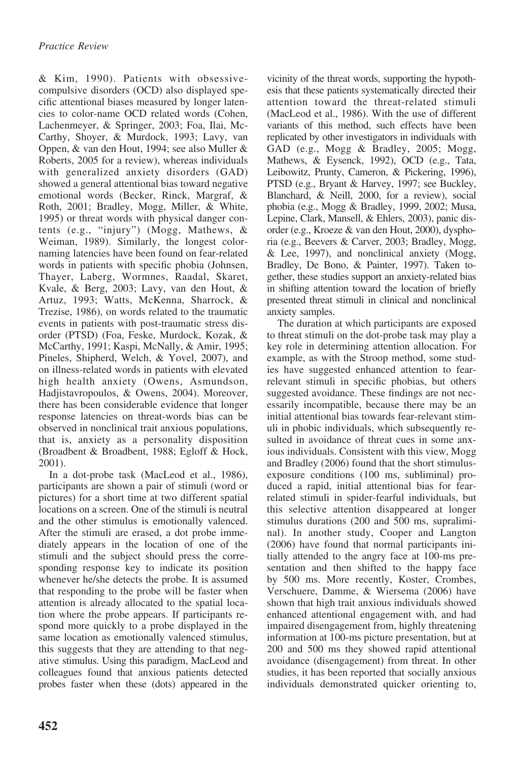& Kim, 1990). Patients with obsessivecompulsive disorders (OCD) also displayed specific attentional biases measured by longer latencies to color-name OCD related words (Cohen, Lachenmeyer, & Springer, 2003; Foa, Ilai, Mc-Carthy, Shoyer, & Murdock, 1993; Lavy, van Oppen, & van den Hout, 1994; see also Muller & Roberts, 2005 for a review), whereas individuals with generalized anxiety disorders (GAD) showed a general attentional bias toward negative emotional words (Becker, Rinck, Margraf, & Roth, 2001; Bradley, Mogg, Miller, & White, 1995) or threat words with physical danger contents (e.g., "injury") (Mogg, Mathews, & Weiman, 1989). Similarly, the longest colornaming latencies have been found on fear-related words in patients with specific phobia (Johnsen, Thayer, Laberg, Wormnes, Raadal, Skaret, Kvale, & Berg, 2003; Lavy, van den Hout, & Artuz, 1993; Watts, McKenna, Sharrock, & Trezise, 1986), on words related to the traumatic events in patients with post-traumatic stress disorder (PTSD) (Foa, Feske, Murdock, Kozak, & McCarthy, 1991; Kaspi, McNally, & Amir, 1995; Pineles, Shipherd, Welch, & Yovel, 2007), and on illness-related words in patients with elevated high health anxiety (Owens, Asmundson, Hadjistavropoulos, & Owens, 2004). Moreover, there has been considerable evidence that longer response latencies on threat-words bias can be observed in nonclinical trait anxious populations, that is, anxiety as a personality disposition (Broadbent & Broadbent, 1988; Egloff & Hock, 2001).

In a dot-probe task (MacLeod et al., 1986), participants are shown a pair of stimuli (word or pictures) for a short time at two different spatial locations on a screen. One of the stimuli is neutral and the other stimulus is emotionally valenced. After the stimuli are erased, a dot probe immediately appears in the location of one of the stimuli and the subject should press the corresponding response key to indicate its position whenever he/she detects the probe. It is assumed that responding to the probe will be faster when attention is already allocated to the spatial location where the probe appears. If participants respond more quickly to a probe displayed in the same location as emotionally valenced stimulus, this suggests that they are attending to that negative stimulus. Using this paradigm, MacLeod and colleagues found that anxious patients detected probes faster when these (dots) appeared in the

vicinity of the threat words, supporting the hypothesis that these patients systematically directed their attention toward the threat-related stimuli (MacLeod et al., 1986). With the use of different variants of this method, such effects have been replicated by other investigators in individuals with GAD (e.g., Mogg & Bradley, 2005; Mogg, Mathews, & Eysenck, 1992), OCD (e.g., Tata, Leibowitz, Prunty, Cameron, & Pickering, 1996), PTSD (e.g., Bryant & Harvey, 1997; see Buckley, Blanchard, & Neill, 2000, for a review), social phobia (e.g., Mogg & Bradley, 1999, 2002; Musa, Lepine, Clark, Mansell, & Ehlers, 2003), panic disorder (e.g., Kroeze & van den Hout, 2000), dysphoria (e.g., Beevers & Carver, 2003; Bradley, Mogg, & Lee, 1997), and nonclinical anxiety (Mogg, Bradley, De Bono, & Painter, 1997). Taken together, these studies support an anxiety-related bias in shifting attention toward the location of briefly presented threat stimuli in clinical and nonclinical anxiety samples.

The duration at which participants are exposed to threat stimuli on the dot-probe task may play a key role in determining attention allocation. For example, as with the Stroop method, some studies have suggested enhanced attention to fearrelevant stimuli in specific phobias, but others suggested avoidance. These findings are not necessarily incompatible, because there may be an initial attentional bias towards fear-relevant stimuli in phobic individuals, which subsequently resulted in avoidance of threat cues in some anxious individuals. Consistent with this view, Mogg and Bradley (2006) found that the short stimulusexposure conditions (100 ms, subliminal) produced a rapid, initial attentional bias for fearrelated stimuli in spider-fearful individuals, but this selective attention disappeared at longer stimulus durations (200 and 500 ms, supraliminal). In another study, Cooper and Langton (2006) have found that normal participants initially attended to the angry face at 100-ms presentation and then shifted to the happy face by 500 ms. More recently, Koster, Crombes, Verschuere, Damme, & Wiersema (2006) have shown that high trait anxious individuals showed enhanced attentional engagement with, and had impaired disengagement from, highly threatening information at 100-ms picture presentation, but at 200 and 500 ms they showed rapid attentional avoidance (disengagement) from threat. In other studies, it has been reported that socially anxious individuals demonstrated quicker orienting to,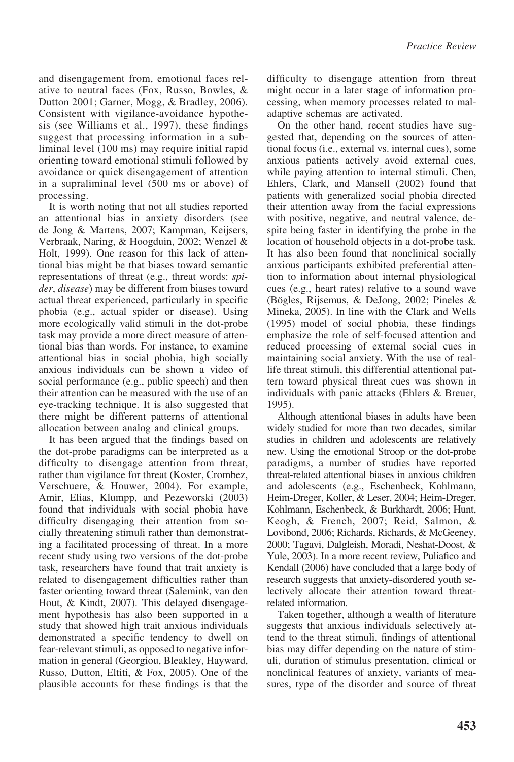and disengagement from, emotional faces relative to neutral faces (Fox, Russo, Bowles, & Dutton 2001; Garner, Mogg, & Bradley, 2006). Consistent with vigilance-avoidance hypothesis (see Williams et al., 1997), these findings suggest that processing information in a subliminal level (100 ms) may require initial rapid orienting toward emotional stimuli followed by avoidance or quick disengagement of attention in a supraliminal level (500 ms or above) of processing.

It is worth noting that not all studies reported an attentional bias in anxiety disorders (see de Jong & Martens, 2007; Kampman, Keijsers, Verbraak, Naring, & Hoogduin, 2002; Wenzel & Holt, 1999). One reason for this lack of attentional bias might be that biases toward semantic representations of threat (e.g., threat words: *spider*, *disease*) may be different from biases toward actual threat experienced, particularly in specific phobia (e.g., actual spider or disease). Using more ecologically valid stimuli in the dot-probe task may provide a more direct measure of attentional bias than words. For instance, to examine attentional bias in social phobia, high socially anxious individuals can be shown a video of social performance (e.g., public speech) and then their attention can be measured with the use of an eye-tracking technique. It is also suggested that there might be different patterns of attentional allocation between analog and clinical groups.

It has been argued that the findings based on the dot-probe paradigms can be interpreted as a difficulty to disengage attention from threat, rather than vigilance for threat (Koster, Crombez, Verschuere, & Houwer, 2004). For example, Amir, Elias, Klumpp, and Pezeworski (2003) found that individuals with social phobia have difficulty disengaging their attention from socially threatening stimuli rather than demonstrating a facilitated processing of threat. In a more recent study using two versions of the dot-probe task, researchers have found that trait anxiety is related to disengagement difficulties rather than faster orienting toward threat (Salemink, van den Hout, & Kindt, 2007). This delayed disengagement hypothesis has also been supported in a study that showed high trait anxious individuals demonstrated a specific tendency to dwell on fear-relevant stimuli, as opposed to negative information in general (Georgiou, Bleakley, Hayward, Russo, Dutton, Eltiti, & Fox, 2005). One of the plausible accounts for these findings is that the

difficulty to disengage attention from threat might occur in a later stage of information processing, when memory processes related to maladaptive schemas are activated.

On the other hand, recent studies have suggested that, depending on the sources of attentional focus (i.e., external vs. internal cues), some anxious patients actively avoid external cues, while paying attention to internal stimuli. Chen, Ehlers, Clark, and Mansell (2002) found that patients with generalized social phobia directed their attention away from the facial expressions with positive, negative, and neutral valence, despite being faster in identifying the probe in the location of household objects in a dot-probe task. It has also been found that nonclinical socially anxious participants exhibited preferential attention to information about internal physiological cues (e.g., heart rates) relative to a sound wave (Bögles, Rijsemus, & DeJong, 2002; Pineles & Mineka, 2005). In line with the Clark and Wells (1995) model of social phobia, these findings emphasize the role of self-focused attention and reduced processing of external social cues in maintaining social anxiety. With the use of reallife threat stimuli, this differential attentional pattern toward physical threat cues was shown in individuals with panic attacks (Ehlers & Breuer, 1995).

Although attentional biases in adults have been widely studied for more than two decades, similar studies in children and adolescents are relatively new. Using the emotional Stroop or the dot-probe paradigms, a number of studies have reported threat-related attentional biases in anxious children and adolescents (e.g., Eschenbeck, Kohlmann, Heim-Dreger, Koller, & Leser, 2004; Heim-Dreger, Kohlmann, Eschenbeck, & Burkhardt, 2006; Hunt, Keogh, & French, 2007; Reid, Salmon, & Lovibond, 2006; Richards, Richards, & McGeeney, 2000; Tagavi, Dalgleish, Moradi, Neshat-Doost, & Yule, 2003). In a more recent review, Puliafico and Kendall (2006) have concluded that a large body of research suggests that anxiety-disordered youth selectively allocate their attention toward threatrelated information.

Taken together, although a wealth of literature suggests that anxious individuals selectively attend to the threat stimuli, findings of attentional bias may differ depending on the nature of stimuli, duration of stimulus presentation, clinical or nonclinical features of anxiety, variants of measures, type of the disorder and source of threat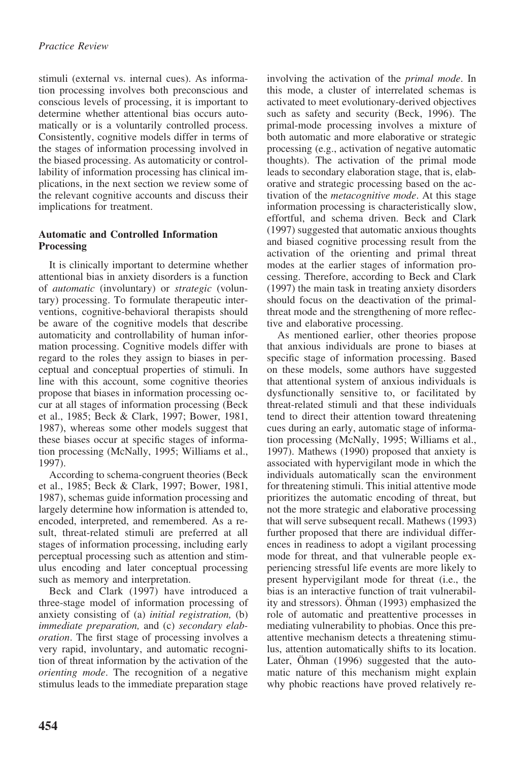stimuli (external vs. internal cues). As information processing involves both preconscious and conscious levels of processing, it is important to determine whether attentional bias occurs automatically or is a voluntarily controlled process. Consistently, cognitive models differ in terms of the stages of information processing involved in the biased processing. As automaticity or controllability of information processing has clinical implications, in the next section we review some of the relevant cognitive accounts and discuss their implications for treatment.

## **Automatic and Controlled Information Processing**

It is clinically important to determine whether attentional bias in anxiety disorders is a function of *automatic* (involuntary) or *strategic* (voluntary) processing. To formulate therapeutic interventions, cognitive-behavioral therapists should be aware of the cognitive models that describe automaticity and controllability of human information processing. Cognitive models differ with regard to the roles they assign to biases in perceptual and conceptual properties of stimuli. In line with this account, some cognitive theories propose that biases in information processing occur at all stages of information processing (Beck et al., 1985; Beck & Clark, 1997; Bower, 1981, 1987), whereas some other models suggest that these biases occur at specific stages of information processing (McNally, 1995; Williams et al., 1997).

According to schema-congruent theories (Beck et al., 1985; Beck & Clark, 1997; Bower, 1981, 1987), schemas guide information processing and largely determine how information is attended to, encoded, interpreted, and remembered. As a result, threat-related stimuli are preferred at all stages of information processing, including early perceptual processing such as attention and stimulus encoding and later conceptual processing such as memory and interpretation.

Beck and Clark (1997) have introduced a three-stage model of information processing of anxiety consisting of (a) *initial registration,* (b) *immediate preparation,* and (c) *secondary elaboration*. The first stage of processing involves a very rapid, involuntary, and automatic recognition of threat information by the activation of the *orienting mode*. The recognition of a negative stimulus leads to the immediate preparation stage

involving the activation of the *primal mode*. In this mode, a cluster of interrelated schemas is activated to meet evolutionary-derived objectives such as safety and security (Beck, 1996). The primal-mode processing involves a mixture of both automatic and more elaborative or strategic processing (e.g., activation of negative automatic thoughts). The activation of the primal mode leads to secondary elaboration stage, that is, elaborative and strategic processing based on the activation of the *metacognitive mode*. At this stage information processing is characteristically slow, effortful, and schema driven. Beck and Clark (1997) suggested that automatic anxious thoughts and biased cognitive processing result from the activation of the orienting and primal threat modes at the earlier stages of information processing. Therefore, according to Beck and Clark (1997) the main task in treating anxiety disorders should focus on the deactivation of the primalthreat mode and the strengthening of more reflective and elaborative processing.

As mentioned earlier, other theories propose that anxious individuals are prone to biases at specific stage of information processing. Based on these models, some authors have suggested that attentional system of anxious individuals is dysfunctionally sensitive to, or facilitated by threat-related stimuli and that these individuals tend to direct their attention toward threatening cues during an early, automatic stage of information processing (McNally, 1995; Williams et al., 1997). Mathews (1990) proposed that anxiety is associated with hypervigilant mode in which the individuals automatically scan the environment for threatening stimuli. This initial attentive mode prioritizes the automatic encoding of threat, but not the more strategic and elaborative processing that will serve subsequent recall. Mathews (1993) further proposed that there are individual differences in readiness to adopt a vigilant processing mode for threat, and that vulnerable people experiencing stressful life events are more likely to present hypervigilant mode for threat (i.e., the bias is an interactive function of trait vulnerability and stressors). Öhman (1993) emphasized the role of automatic and preattentive processes in mediating vulnerability to phobias. Once this preattentive mechanism detects a threatening stimulus, attention automatically shifts to its location. Later, Ohman (1996) suggested that the automatic nature of this mechanism might explain why phobic reactions have proved relatively re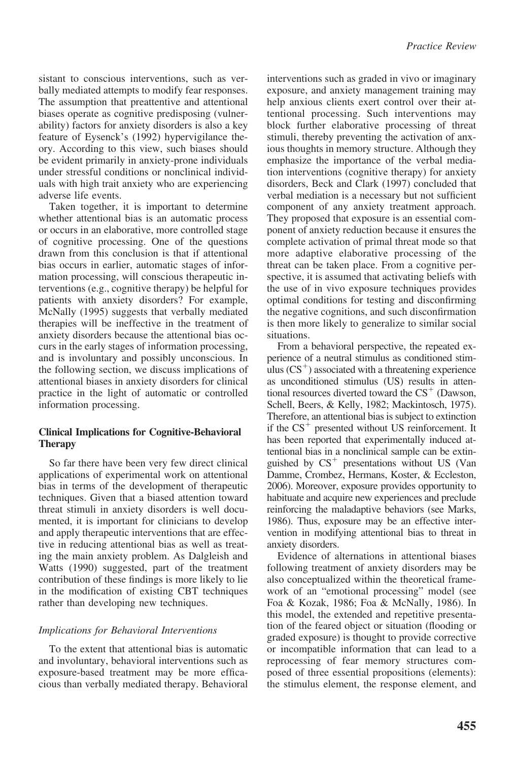sistant to conscious interventions, such as verbally mediated attempts to modify fear responses. The assumption that preattentive and attentional biases operate as cognitive predisposing (vulnerability) factors for anxiety disorders is also a key feature of Eysenck's (1992) hypervigilance theory. According to this view, such biases should be evident primarily in anxiety-prone individuals under stressful conditions or nonclinical individuals with high trait anxiety who are experiencing adverse life events.

Taken together, it is important to determine whether attentional bias is an automatic process or occurs in an elaborative, more controlled stage of cognitive processing. One of the questions drawn from this conclusion is that if attentional bias occurs in earlier, automatic stages of information processing, will conscious therapeutic interventions (e.g., cognitive therapy) be helpful for patients with anxiety disorders? For example, McNally (1995) suggests that verbally mediated therapies will be ineffective in the treatment of anxiety disorders because the attentional bias occurs in the early stages of information processing, and is involuntary and possibly unconscious. In the following section, we discuss implications of attentional biases in anxiety disorders for clinical practice in the light of automatic or controlled information processing.

## **Clinical Implications for Cognitive-Behavioral Therapy**

So far there have been very few direct clinical applications of experimental work on attentional bias in terms of the development of therapeutic techniques. Given that a biased attention toward threat stimuli in anxiety disorders is well documented, it is important for clinicians to develop and apply therapeutic interventions that are effective in reducing attentional bias as well as treating the main anxiety problem. As Dalgleish and Watts (1990) suggested, part of the treatment contribution of these findings is more likely to lie in the modification of existing CBT techniques rather than developing new techniques.

#### *Implications for Behavioral Interventions*

To the extent that attentional bias is automatic and involuntary, behavioral interventions such as exposure-based treatment may be more efficacious than verbally mediated therapy. Behavioral interventions such as graded in vivo or imaginary exposure, and anxiety management training may help anxious clients exert control over their attentional processing. Such interventions may block further elaborative processing of threat stimuli, thereby preventing the activation of anxious thoughts in memory structure. Although they emphasize the importance of the verbal mediation interventions (cognitive therapy) for anxiety disorders, Beck and Clark (1997) concluded that verbal mediation is a necessary but not sufficient component of any anxiety treatment approach. They proposed that exposure is an essential component of anxiety reduction because it ensures the complete activation of primal threat mode so that more adaptive elaborative processing of the threat can be taken place. From a cognitive perspective, it is assumed that activating beliefs with the use of in vivo exposure techniques provides optimal conditions for testing and disconfirming the negative cognitions, and such disconfirmation is then more likely to generalize to similar social situations.

From a behavioral perspective, the repeated experience of a neutral stimulus as conditioned stimulus  $(CS<sup>+</sup>)$  associated with a threatening experience as unconditioned stimulus (US) results in attentional resources diverted toward the  $CS^+$  (Dawson, Schell, Beers, & Kelly, 1982; Mackintosch, 1975). Therefore, an attentional bias is subject to extinction if the  $CS^+$  presented without US reinforcement. It has been reported that experimentally induced attentional bias in a nonclinical sample can be extinguished by  $CS^+$  presentations without US (Van Damme, Crombez, Hermans, Koster, & Eccleston, 2006). Moreover, exposure provides opportunity to habituate and acquire new experiences and preclude reinforcing the maladaptive behaviors (see Marks, 1986). Thus, exposure may be an effective intervention in modifying attentional bias to threat in anxiety disorders.

Evidence of alternations in attentional biases following treatment of anxiety disorders may be also conceptualized within the theoretical framework of an "emotional processing" model (see Foa & Kozak, 1986; Foa & McNally, 1986). In this model, the extended and repetitive presentation of the feared object or situation (flooding or graded exposure) is thought to provide corrective or incompatible information that can lead to a reprocessing of fear memory structures composed of three essential propositions (elements): the stimulus element, the response element, and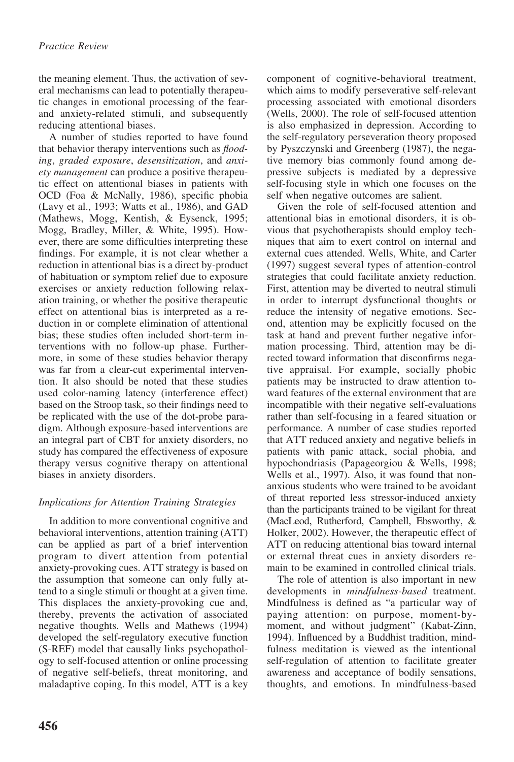the meaning element. Thus, the activation of several mechanisms can lead to potentially therapeutic changes in emotional processing of the fearand anxiety-related stimuli, and subsequently reducing attentional biases.

A number of studies reported to have found that behavior therapy interventions such as *flooding*, *graded exposure*, *desensitization*, and *anxiety management* can produce a positive therapeutic effect on attentional biases in patients with OCD (Foa & McNally, 1986), specific phobia (Lavy et al., 1993; Watts et al., 1986), and GAD (Mathews, Mogg, Kentish, & Eysenck, 1995; Mogg, Bradley, Miller, & White, 1995). However, there are some difficulties interpreting these findings. For example, it is not clear whether a reduction in attentional bias is a direct by-product of habituation or symptom relief due to exposure exercises or anxiety reduction following relaxation training, or whether the positive therapeutic effect on attentional bias is interpreted as a reduction in or complete elimination of attentional bias; these studies often included short-term interventions with no follow-up phase. Furthermore, in some of these studies behavior therapy was far from a clear-cut experimental intervention. It also should be noted that these studies used color-naming latency (interference effect) based on the Stroop task, so their findings need to be replicated with the use of the dot-probe paradigm. Although exposure-based interventions are an integral part of CBT for anxiety disorders, no study has compared the effectiveness of exposure therapy versus cognitive therapy on attentional biases in anxiety disorders.

# *Implications for Attention Training Strategies*

In addition to more conventional cognitive and behavioral interventions, attention training (ATT) can be applied as part of a brief intervention program to divert attention from potential anxiety-provoking cues. ATT strategy is based on the assumption that someone can only fully attend to a single stimuli or thought at a given time. This displaces the anxiety-provoking cue and, thereby, prevents the activation of associated negative thoughts. Wells and Mathews (1994) developed the self-regulatory executive function (S-REF) model that causally links psychopathology to self-focused attention or online processing of negative self-beliefs, threat monitoring, and maladaptive coping. In this model, ATT is a key component of cognitive-behavioral treatment, which aims to modify perseverative self-relevant processing associated with emotional disorders (Wells, 2000). The role of self-focused attention is also emphasized in depression. According to the self-regulatory perseveration theory proposed by Pyszczynski and Greenberg (1987), the negative memory bias commonly found among depressive subjects is mediated by a depressive self-focusing style in which one focuses on the self when negative outcomes are salient.

Given the role of self-focused attention and attentional bias in emotional disorders, it is obvious that psychotherapists should employ techniques that aim to exert control on internal and external cues attended. Wells, White, and Carter (1997) suggest several types of attention-control strategies that could facilitate anxiety reduction. First, attention may be diverted to neutral stimuli in order to interrupt dysfunctional thoughts or reduce the intensity of negative emotions. Second, attention may be explicitly focused on the task at hand and prevent further negative information processing. Third, attention may be directed toward information that disconfirms negative appraisal. For example, socially phobic patients may be instructed to draw attention toward features of the external environment that are incompatible with their negative self-evaluations rather than self-focusing in a feared situation or performance. A number of case studies reported that ATT reduced anxiety and negative beliefs in patients with panic attack, social phobia, and hypochondriasis (Papageorgiou & Wells, 1998; Wells et al., 1997). Also, it was found that nonanxious students who were trained to be avoidant of threat reported less stressor-induced anxiety than the participants trained to be vigilant for threat (MacLeod, Rutherford, Campbell, Ebsworthy, & Holker, 2002). However, the therapeutic effect of ATT on reducing attentional bias toward internal or external threat cues in anxiety disorders remain to be examined in controlled clinical trials.

The role of attention is also important in new developments in *mindfulness-based* treatment. Mindfulness is defined as "a particular way of paying attention: on purpose, moment-bymoment, and without judgment" (Kabat-Zinn, 1994). Influenced by a Buddhist tradition, mindfulness meditation is viewed as the intentional self-regulation of attention to facilitate greater awareness and acceptance of bodily sensations, thoughts, and emotions. In mindfulness-based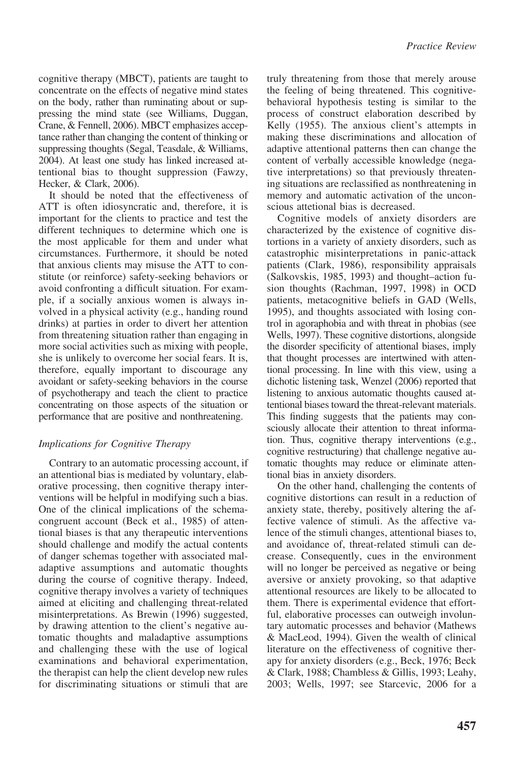cognitive therapy (MBCT), patients are taught to concentrate on the effects of negative mind states on the body, rather than ruminating about or suppressing the mind state (see Williams, Duggan, Crane, & Fennell, 2006). MBCT emphasizes acceptance rather than changing the content of thinking or suppressing thoughts (Segal, Teasdale, & Williams, 2004). At least one study has linked increased attentional bias to thought suppression (Fawzy, Hecker, & Clark, 2006).

It should be noted that the effectiveness of ATT is often idiosyncratic and, therefore, it is important for the clients to practice and test the different techniques to determine which one is the most applicable for them and under what circumstances. Furthermore, it should be noted that anxious clients may misuse the ATT to constitute (or reinforce) safety-seeking behaviors or avoid confronting a difficult situation. For example, if a socially anxious women is always involved in a physical activity (e.g., handing round drinks) at parties in order to divert her attention from threatening situation rather than engaging in more social activities such as mixing with people, she is unlikely to overcome her social fears. It is, therefore, equally important to discourage any avoidant or safety-seeking behaviors in the course of psychotherapy and teach the client to practice concentrating on those aspects of the situation or performance that are positive and nonthreatening.

## *Implications for Cognitive Therapy*

Contrary to an automatic processing account, if an attentional bias is mediated by voluntary, elaborative processing, then cognitive therapy interventions will be helpful in modifying such a bias. One of the clinical implications of the schemacongruent account (Beck et al., 1985) of attentional biases is that any therapeutic interventions should challenge and modify the actual contents of danger schemas together with associated maladaptive assumptions and automatic thoughts during the course of cognitive therapy. Indeed, cognitive therapy involves a variety of techniques aimed at eliciting and challenging threat-related misinterpretations. As Brewin (1996) suggested, by drawing attention to the client's negative automatic thoughts and maladaptive assumptions and challenging these with the use of logical examinations and behavioral experimentation, the therapist can help the client develop new rules for discriminating situations or stimuli that are

truly threatening from those that merely arouse the feeling of being threatened. This cognitivebehavioral hypothesis testing is similar to the process of construct elaboration described by Kelly (1955). The anxious client's attempts in making these discriminations and allocation of adaptive attentional patterns then can change the content of verbally accessible knowledge (negative interpretations) so that previously threatening situations are reclassified as nonthreatening in memory and automatic activation of the unconscious attetional bias is decreased.

Cognitive models of anxiety disorders are characterized by the existence of cognitive distortions in a variety of anxiety disorders, such as catastrophic misinterpretations in panic-attack patients (Clark, 1986), responsibility appraisals (Salkovskis, 1985, 1993) and thought–action fusion thoughts (Rachman, 1997, 1998) in OCD patients, metacognitive beliefs in GAD (Wells, 1995), and thoughts associated with losing control in agoraphobia and with threat in phobias (see Wells, 1997). These cognitive distortions, alongside the disorder specificity of attentional biases, imply that thought processes are intertwined with attentional processing. In line with this view, using a dichotic listening task, Wenzel (2006) reported that listening to anxious automatic thoughts caused attentional biases toward the threat-relevant materials. This finding suggests that the patients may consciously allocate their attention to threat information. Thus, cognitive therapy interventions (e.g., cognitive restructuring) that challenge negative automatic thoughts may reduce or eliminate attentional bias in anxiety disorders.

On the other hand, challenging the contents of cognitive distortions can result in a reduction of anxiety state, thereby, positively altering the affective valence of stimuli. As the affective valence of the stimuli changes, attentional biases to, and avoidance of, threat-related stimuli can decrease. Consequently, cues in the environment will no longer be perceived as negative or being aversive or anxiety provoking, so that adaptive attentional resources are likely to be allocated to them. There is experimental evidence that effortful, elaborative processes can outweigh involuntary automatic processes and behavior (Mathews & MacLeod, 1994). Given the wealth of clinical literature on the effectiveness of cognitive therapy for anxiety disorders (e.g., Beck, 1976; Beck & Clark, 1988; Chambless & Gillis, 1993; Leahy, 2003; Wells, 1997; see Starcevic, 2006 for a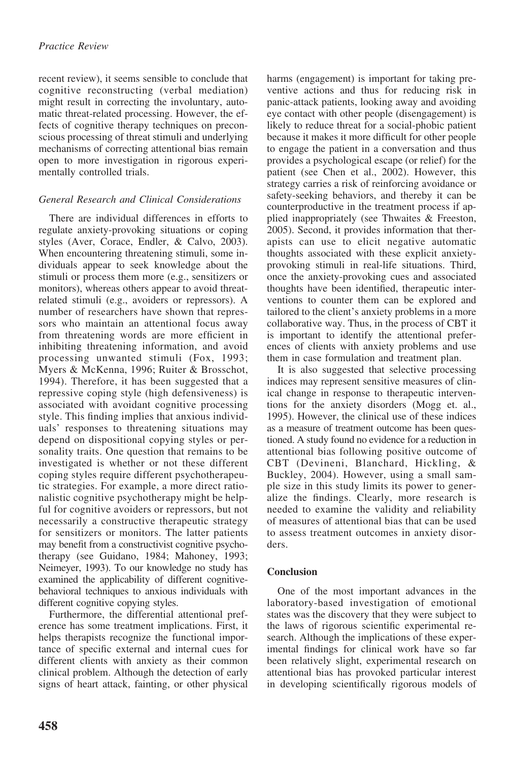recent review), it seems sensible to conclude that cognitive reconstructing (verbal mediation) might result in correcting the involuntary, automatic threat-related processing. However, the effects of cognitive therapy techniques on preconscious processing of threat stimuli and underlying mechanisms of correcting attentional bias remain open to more investigation in rigorous experimentally controlled trials.

## *General Research and Clinical Considerations*

There are individual differences in efforts to regulate anxiety-provoking situations or coping styles (Aver, Corace, Endler, & Calvo, 2003). When encountering threatening stimuli, some individuals appear to seek knowledge about the stimuli or process them more (e.g., sensitizers or monitors), whereas others appear to avoid threatrelated stimuli (e.g., avoiders or repressors). A number of researchers have shown that repressors who maintain an attentional focus away from threatening words are more efficient in inhibiting threatening information, and avoid processing unwanted stimuli (Fox, 1993; Myers & McKenna, 1996; Ruiter & Brosschot, 1994). Therefore, it has been suggested that a repressive coping style (high defensiveness) is associated with avoidant cognitive processing style. This finding implies that anxious individuals' responses to threatening situations may depend on dispositional copying styles or personality traits. One question that remains to be investigated is whether or not these different coping styles require different psychotherapeutic strategies. For example, a more direct rationalistic cognitive psychotherapy might be helpful for cognitive avoiders or repressors, but not necessarily a constructive therapeutic strategy for sensitizers or monitors. The latter patients may benefit from a constructivist cognitive psychotherapy (see Guidano, 1984; Mahoney, 1993; Neimeyer, 1993). To our knowledge no study has examined the applicability of different cognitivebehavioral techniques to anxious individuals with different cognitive copying styles.

Furthermore, the differential attentional preference has some treatment implications. First, it helps therapists recognize the functional importance of specific external and internal cues for different clients with anxiety as their common clinical problem. Although the detection of early signs of heart attack, fainting, or other physical

harms (engagement) is important for taking preventive actions and thus for reducing risk in panic-attack patients, looking away and avoiding eye contact with other people (disengagement) is likely to reduce threat for a social-phobic patient because it makes it more difficult for other people to engage the patient in a conversation and thus provides a psychological escape (or relief) for the patient (see Chen et al., 2002). However, this strategy carries a risk of reinforcing avoidance or safety-seeking behaviors, and thereby it can be counterproductive in the treatment process if applied inappropriately (see Thwaites & Freeston, 2005). Second, it provides information that therapists can use to elicit negative automatic thoughts associated with these explicit anxietyprovoking stimuli in real-life situations. Third, once the anxiety-provoking cues and associated thoughts have been identified, therapeutic interventions to counter them can be explored and tailored to the client's anxiety problems in a more collaborative way. Thus, in the process of CBT it is important to identify the attentional preferences of clients with anxiety problems and use them in case formulation and treatment plan.

It is also suggested that selective processing indices may represent sensitive measures of clinical change in response to therapeutic interventions for the anxiety disorders (Mogg et. al., 1995). However, the clinical use of these indices as a measure of treatment outcome has been questioned. A study found no evidence for a reduction in attentional bias following positive outcome of CBT (Devineni, Blanchard, Hickling, & Buckley, 2004). However, using a small sample size in this study limits its power to generalize the findings. Clearly, more research is needed to examine the validity and reliability of measures of attentional bias that can be used to assess treatment outcomes in anxiety disorders.

# **Conclusion**

One of the most important advances in the laboratory-based investigation of emotional states was the discovery that they were subject to the laws of rigorous scientific experimental research. Although the implications of these experimental findings for clinical work have so far been relatively slight, experimental research on attentional bias has provoked particular interest in developing scientifically rigorous models of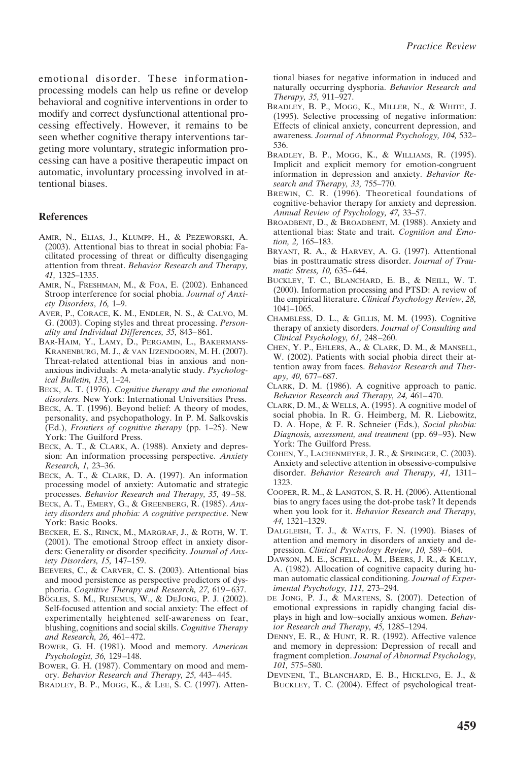emotional disorder. These informationprocessing models can help us refine or develop behavioral and cognitive interventions in order to modify and correct dysfunctional attentional processing effectively. However, it remains to be seen whether cognitive therapy interventions targeting more voluntary, strategic information processing can have a positive therapeutic impact on automatic, involuntary processing involved in attentional biases.

#### **References**

- AMIR, N., ELIAS, J., KLUMPP, H., & PEZEWORSKI, A. (2003). Attentional bias to threat in social phobia: Facilitated processing of threat or difficulty disengaging attention from threat. *Behavior Research and Therapy, 41,* 1325–1335.
- AMIR, N., FRESHMAN, M., & FOA, E. (2002). Enhanced Stroop interference for social phobia. *Journal of Anxiety Disorders*, *16,* 1–9.
- AVER, P., CORACE, K. M., ENDLER, N. S., & CALVO, M. G. (2003). Coping styles and threat processing. *Personality and Individual Differences, 35,* 843– 861.
- BAR-HAIM, Y., LAMY, D., PERGAMIN, L., BAKERMANS-KRANENBURG, M. J., & VAN IJZENDOORN, M. H. (2007). Threat-related attentional bias in anxious and nonanxious individuals: A meta-analytic study. *Psychological Bulletin, 133,* 1–24.
- BECK, A. T. (1976). *Cognitive therapy and the emotional disorders.* New York: International Universities Press.
- BECK, A. T. (1996). Beyond belief: A theory of modes, personality, and psychopathology. In P. M. Salkovskis (Ed.), *Frontiers of cognitive therapy* (pp. 1–25). New York: The Guilford Press.
- BECK, A. T., & CLARK, A. (1988). Anxiety and depression: An information processing perspective. *Anxiety Research, 1,* 23–36.
- BECK, A. T., & CLARK, D. A. (1997). An information processing model of anxiety: Automatic and strategic processes. *Behavior Research and Therapy, 35,* 49 –58.
- BECK, A. T., EMERY, G., & GREENBERG, R. (1985). *Anxiety disorders and phobia: A cognitive perspective*. New York: Basic Books.
- BECKER, E. S., RINCK, M., MARGRAF, J., & ROTH, W. T. (2001). The emotional Stroop effect in anxiety disorders: Generality or disorder specificity. *Journal of Anxiety Disorders, 15,* 147–159.
- BEEVERS, C., & CARVER, C. S. (2003). Attentional bias and mood persistence as perspective predictors of dysphoria. *Cognitive Therapy and Research, 27,* 619 – 637.
- BÖGLES, S. M., RIJSEMUS, W., & DEJONG, P. J. (2002). Self-focused attention and social anxiety: The effect of experimentally heightened self-awareness on fear, blushing, cognitions and social skills. *Cognitive Therapy and Research, 26,* 461– 472.
- BOWER, G. H. (1981). Mood and memory. *American Psychologist, 36,* 129 –148.
- BOWER, G. H. (1987). Commentary on mood and memory. *Behavior Research and Therapy, 25,* 443– 445.
- BRADLEY, B. P., MOGG, K., & LEE, S. C. (1997). Atten-

tional biases for negative information in induced and naturally occurring dysphoria. *Behavior Research and Therapy, 35,* 911–927.

- BRADLEY, B. P., MOGG, K., MILLER, N., & WHITE, J. (1995). Selective processing of negative information: Effects of clinical anxiety, concurrent depression, and awareness. *Journal of Abnormal Psychology, 104,* 532– 536.
- BRADLEY, B. P., MOGG, K., & WILLIAMS, R. (1995). Implicit and explicit memory for emotion-congruent information in depression and anxiety. *Behavior Research and Therapy, 33,* 755–770.
- BREWIN, C. R. (1996). Theoretical foundations of cognitive-behavior therapy for anxiety and depression. *Annual Review of Psychology, 47,* 33–57.
- BROADBENT, D., & BROADBENT, M. (1988). Anxiety and attentional bias: State and trait. *Cognition and Emotion, 2,* 165–183.
- BRYANT, R. A., & HARVEY, A. G. (1997). Attentional bias in posttraumatic stress disorder. *Journal of Traumatic Stress, 10,* 635– 644.
- BUCKLEY, T. C., BLANCHARD, E. B., & NEILL, W. T. (2000). Information processing and PTSD: A review of the empirical literature. *Clinical Psychology Review, 28,* 1041–1065.
- CHAMBLESS, D. L., & GILLIS, M. M. (1993). Cognitive therapy of anxiety disorders. *Journal of Consulting and Clinical Psychology, 61,* 248 –260.
- CHEN, Y. P., EHLERS, A., & CLARK, D. M., & MANSELL, W. (2002). Patients with social phobia direct their attention away from faces. *Behavior Research and Therapy, 40,* 677– 687.
- CLARK, D. M. (1986). A cognitive approach to panic. *Behavior Research and Therapy, 24,* 461– 470.
- CLARK, D. M., & WELLS, A. (1995). A cognitive model of social phobia. In R. G. Heimberg, M. R. Liebowitz, D. A. Hope, & F. R. Schneier (Eds.), *Social phobia: Diagnosis, assessment, and treatment* (pp. 69 –93). New York: The Guilford Press.
- COHEN, Y., LACHENMEYER, J. R., & SPRINGER, C. (2003). Anxiety and selective attention in obsessive-compulsive disorder. *Behavior Research and Therapy, 41,* 1311– 1323.
- COOPER, R. M., & LANGTON, S. R. H. (2006). Attentional bias to angry faces using the dot-probe task? It depends when you look for it. *Behavior Research and Therapy, 44,* 1321–1329.
- DALGLEISH, T. J., & WATTS, F. N. (1990). Biases of attention and memory in disorders of anxiety and depression. *Clinical Psychology Review, 10, 589-604*.
- DAWSON, M. E., SCHELL, A. M., BEERS, J. R., & KELLY, A. (1982). Allocation of cognitive capacity during human automatic classical conditioning. *Journal of Experimental Psychology, 111,* 273–294.
- DE JONG, P. J., & MARTENS, S. (2007). Detection of emotional expressions in rapidly changing facial displays in high and low–socially anxious women. *Behavior Research and Therapy, 45,* 1285–1294.
- DENNY, E. R., & HUNT, R. R. (1992). Affective valence and memory in depression: Depression of recall and fragment completion. *Journal of Abnormal Psychology, 101,* 575–580.
- DEVINENI, T., BLANCHARD, E. B., HICKLING, E. J., & BUCKLEY, T. C. (2004). Effect of psychological treat-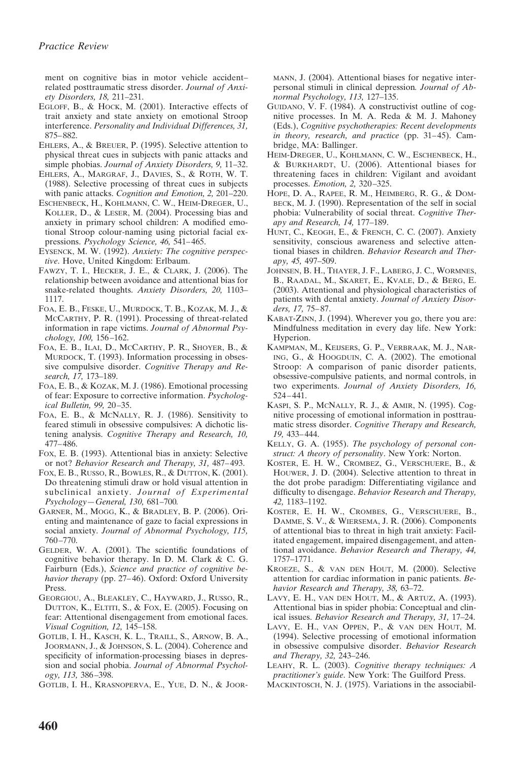ment on cognitive bias in motor vehicle accident– related posttraumatic stress disorder. *Journal of Anxiety Disorders, 18,* 211–231.

- EGLOFF, B., & HOCK, M. (2001). Interactive effects of trait anxiety and state anxiety on emotional Stroop interference. *Personality and Individual Differences, 31,* 875– 882.
- EHLERS, A., & BREUER, P. (1995). Selective attention to physical threat cues in subjects with panic attacks and simple phobias. *Journal of Anxiety Disorders, 9,* 11–32.
- EHLERS, A., MARGRAF, J., DAVIES, S., & ROTH, W. T. (1988). Selective processing of threat cues in subjects with panic attacks. *Cognition and Emotion, 2,* 201–220.
- ESCHENBECK, H., KOHLMANN, C. W., HEIM-DREGER, U., KOLLER, D., & LESER, M. (2004). Processing bias and anxiety in primary school children: A modified emotional Stroop colour-naming using pictorial facial expressions. *Psychology Science, 46,* 541– 465.
- EYSENCK, M. W. (1992). *Anxiety: The cognitive perspective*. Hove, United Kingdom: Erlbaum.
- FAWZY, T. I., HECKER, J. E., & CLARK, J. (2006). The relationship between avoidance and attentional bias for snake-related thoughts. *Anxiety Disorders, 20,* 1103– 1117.
- FOA, E. B., FESKE, U., MURDOCK, T. B., KOZAK, M. J., & MCCARTHY, P. R. (1991). Processing of threat-related information in rape victims. *Journal of Abnormal Psychology, 100,* 156 –162.
- FOA, E. B., ILAI, D., MCCARTHY, P. R., SHOYER, B., & MURDOCK, T. (1993). Information processing in obsessive compulsive disorder. *Cognitive Therapy and Research, 17,* 173–189.
- FOA, E. B., & KOZAK, M. J. (1986). Emotional processing of fear: Exposure to corrective information. *Psychological Bulletin, 99,* 20 –35.
- FOA, E. B., & MCNALLY, R. J. (1986). Sensitivity to feared stimuli in obsessive compulsives: A dichotic listening analysis. *Cognitive Therapy and Research, 10,* 477– 486.
- FOX, E. B. (1993). Attentional bias in anxiety: Selective or not? *Behavior Research and Therapy, 31,* 487– 493.
- FOX, E. B., RUSSO, R., BOWLES, R., & DUTTON, K. (2001). Do threatening stimuli draw or hold visual attention in subclinical anxiety. *Journal of Experimental Psychology—General, 130,* 681–700*.*
- GARNER, M., MOGG, K., & BRADLEY, B. P. (2006). Orienting and maintenance of gaze to facial expressions in social anxiety. *Journal of Abnormal Psychology, 115,* 760 –770.
- GELDER, W. A. (2001). The scientific foundations of cognitive behavior therapy. In D. M. Clark & C. G. Fairburn (Eds.), *Science and practice of cognitive be*havior therapy (pp. 27-46). Oxford: Oxford University Press.
- GEORGIOU, A., BLEAKLEY, C., HAYWARD, J., RUSSO, R., DUTTON, K., ELTITI, S., & FOX, E. (2005). Focusing on fear: Attentional disengagement from emotional faces. *Visual Cognition, 12,* 145–158.
- GOTLIB, I. H., KASCH, K. L., TRAILL, S., ARNOW, B. A., JOORMANN, J., & JOHNSON, S. L. (2004). Coherence and specificity of information-processing biases in depression and social phobia. *Journal of Abnormal Psychology, 113,* 386 –398.
- GOTLIB, I. H., KRASNOPERVA, E., YUE, D. N., & JOOR-

MANN, J. (2004). Attentional biases for negative interpersonal stimuli in clinical depression*. Journal of Abnormal Psychology, 113,* 127–135.

- GUIDANO, V. F. (1984). A constructivist outline of cognitive processes. In M. A. Reda & M. J. Mahoney (Eds.), *Cognitive psychotherapies: Recent developments* in theory, research, and practice (pp. 31–45). Cambridge, MA: Ballinger.
- HEIM-DREGER, U., KOHLMANN, C. W., ESCHENBECK, H., & BURKHARDT, U. (2006). Attentional biases for threatening faces in children: Vigilant and avoidant processes. *Emotion, 2,* 320 –325.
- HOPE, D. A., RAPEE, R. M., HEIMBERG, R. G., & DOM-BECK, M. J. (1990). Representation of the self in social phobia: Vulnerability of social threat. *Cognitive Therapy and Research, 14,* 177–189.
- HUNT, C., KEOGH, E., & FRENCH, C. C. (2007). Anxiety sensitivity, conscious awareness and selective attentional biases in children. *Behavior Research and Therapy, 45,* 497–509.
- JOHNSEN, B. H., THAYER, J. F., LABERG, J. C., WORMNES, B., RAADAL, M., SKARET, E., KVALE, D., & BERG, E. (2003). Attentional and physiological characteristics of patients with dental anxiety. *Journal of Anxiety Disorders, 17,* 75– 87.
- KABAT-ZINN, J. (1994). Wherever you go, there you are: Mindfulness meditation in every day life. New York: Hyperion.
- KAMPMAN, M., KEIJSERS, G. P., VERBRAAK, M. J., NAR-ING, G., & HOOGDUIN, C. A. (2002). The emotional Stroop: A comparison of panic disorder patients, obsessive-compulsive patients, and normal controls, in two experiments. *Journal of Anxiety Disorders, 16,* 524 – 441.
- KASPI, S. P., MCNALLY, R. J., & AMIR, N. (1995). Cognitive processing of emotional information in posttraumatic stress disorder. *Cognitive Therapy and Research, 19,* 433– 444.
- KELLY, G. A. (1955). *The psychology of personal construct: A theory of personality*. New York: Norton.
- KOSTER, E. H. W., CROMBEZ, G., VERSCHUERE, B., & HOUWER, J. D. (2004). Selective attention to threat in the dot probe paradigm: Differentiating vigilance and difficulty to disengage. *Behavior Research and Therapy, 42,* 1183–1192.
- KOSTER, E. H. W., CROMBES, G., VERSCHUERE, B., DAMME, S. V., & WIERSEMA, J. R. (2006). Components of attentional bias to threat in high trait anxiety: Facilitated engagement, impaired disengagement, and attentional avoidance. *Behavior Research and Therapy, 44,* 1757–1771.
- KROEZE, S., & VAN DEN HOUT, M. (2000). Selective attention for cardiac information in panic patients. *Behavior Research and Therapy, 38,* 63–72.
- LAVY, E. H., VAN DEN HOUT, M., & ARTUZ, A. (1993). Attentional bias in spider phobia: Conceptual and clinical issues. *Behavior Research and Therapy, 31,* 17–24.
- LAVY, E. H., VAN OPPEN, P., & VAN DEN HOUT, M. (1994). Selective processing of emotional information in obsessive compulsive disorder. *Behavior Research and Therapy, 32,* 243–246.
- LEAHY, R. L. (2003). *Cognitive therapy techniques: A practitioner's guide*. New York: The Guilford Press.
- MACKINTOSCH, N. J. (1975). Variations in the associabil-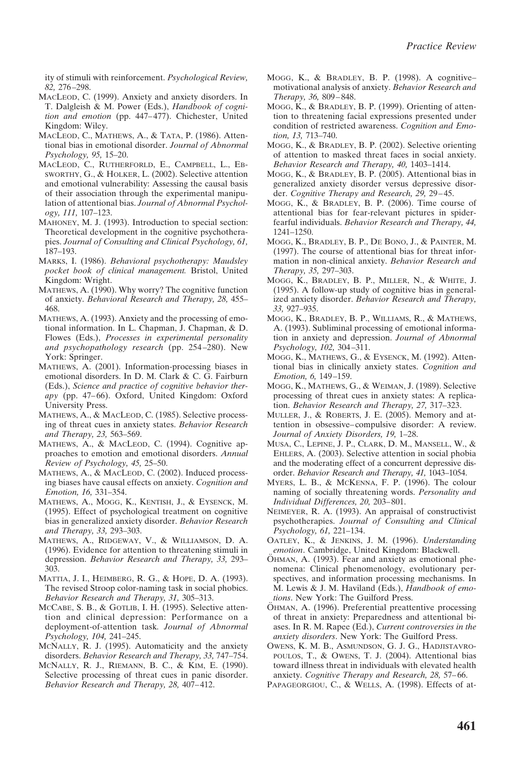ity of stimuli with reinforcement. *Psychological Review, 82,* 276 –298.

- MACLEOD, C. (1999). Anxiety and anxiety disorders. In T. Dalgleish & M. Power (Eds.), *Handbook of cognition and emotion* (pp. 447– 477). Chichester, United Kingdom: Wiley.
- MACLEOD, C., MATHEWS, A., & TATA, P. (1986). Attentional bias in emotional disorder. *Journal of Abnormal Psychology, 95,* 15–20.
- MACLEOD, C., RUTHERFORLD, E., CAMPBELL, L., EB-SWORTHY, G., & HOLKER, L. (2002). Selective attention and emotional vulnerability: Assessing the causal basis of their association through the experimental manipulation of attentional bias. *Journal of Abnormal Psychology, 111,* 107–123.
- MAHONEY, M. J. (1993). Introduction to special section: Theoretical development in the cognitive psychotherapies. *Journal of Consulting and Clinical Psychology, 61,* 187–193.
- MARKS, I. (1986). *Behavioral psychotherapy: Maudsley pocket book of clinical management.* Bristol, United Kingdom: Wright.
- MATHEWS, A. (1990). Why worry? The cognitive function of anxiety. *Behavioral Research and Therapy, 28,* 455– 468.
- MATHEWS, A. (1993). Anxiety and the processing of emotional information. In L. Chapman, J. Chapman, & D. Flowes (Eds.), *Processes in experimental personality and psychopathology research* (pp. 254 –280). New York: Springer.
- MATHEWS, A. (2001). Information-processing biases in emotional disorders. In D. M. Clark & C. G. Fairburn (Eds.), *Science and practice of cognitive behavior therapy* (pp. 47–66). Oxford, United Kingdom: Oxford University Press.
- MATHEWS, A., & MACLEOD, C. (1985). Selective processing of threat cues in anxiety states. *Behavior Research and Therapy, 23,* 563–569.
- MATHEWS, A., & MACLEOD, C. (1994). Cognitive approaches to emotion and emotional disorders. *Annual Review of Psychology, 45,* 25–50.
- MATHEWS, A., & MACLEOD, C. (2002). Induced processing biases have causal effects on anxiety. *Cognition and Emotion, 16,* 331–354.
- MATHEWS, A., MOGG, K., KENTISH, J., & EYSENCK, M. (1995). Effect of psychological treatment on cognitive bias in generalized anxiety disorder. *Behavior Research and Therapy, 33,* 293–303.
- MATHEWS, A., RIDGEWAY, V., & WILLIAMSON, D. A. (1996). Evidence for attention to threatening stimuli in depression. *Behavior Research and Therapy, 33,* 293– 303.
- MATTIA, J. I., HEIMBERG, R. G., & HOPE, D. A. (1993). The revised Stroop color-naming task in social phobics. *Behavior Research and Therapy, 31,* 305–313.
- MCCABE, S. B., & GOTLIB, I. H. (1995). Selective attention and clinical depression: Performance on a deployment-of-attention task*. Journal of Abnormal Psychology, 104,* 241–245.
- MCNALLY, R. J. (1995). Automaticity and the anxiety disorders. *Behavior Research and Therapy, 33,* 747–754.
- MCNALLY, R. J., RIEMANN, B. C., & KIM, E. (1990). Selective processing of threat cues in panic disorder. *Behavior Research and Therapy, 28,* 407– 412.
- MOGG, K., & BRADLEY, B. P. (1998). A cognitive– motivational analysis of anxiety. *Behavior Research and Therapy, 36,* 809 – 848.
- MOGG, K., & BRADLEY, B. P. (1999). Orienting of attention to threatening facial expressions presented under condition of restricted awareness. *Cognition and Emotion, 13,* 713–740.
- MOGG, K., & BRADLEY, B. P. (2002). Selective orienting of attention to masked threat faces in social anxiety. *Behavior Research and Therapy, 40,* 1403–1414.
- MOGG, K., & BRADLEY, B. P. (2005). Attentional bias in generalized anxiety disorder versus depressive disorder. *Cognitive Therapy and Research, 29,* 29 – 45.
- MOGG, K., & BRADLEY, B. P. (2006). Time course of attentional bias for fear-relevant pictures in spiderfearful individuals. *Behavior Research and Therapy, 44,* 1241–1250.
- MOGG, K., BRADLEY, B. P., DE BONO, J., & PAINTER, M. (1997). The course of attentional bias for threat information in non-clinical anxiety. *Behavior Research and Therapy, 35,* 297–303.
- MOGG, K., BRADLEY, B. P., MILLER, N., & WHITE, J. (1995). A follow-up study of cognitive bias in generalized anxiety disorder. *Behavior Research and Therapy, 33,* 927–935.
- MOGG, K., BRADLEY, B. P., WILLIAMS, R., & MATHEWS, A. (1993). Subliminal processing of emotional information in anxiety and depression. *Journal of Abnormal Psychology, 102,* 304 –311.
- MOGG, K., MATHEWS, G., & EYSENCK, M. (1992). Attentional bias in clinically anxiety states. *Cognition and Emotion, 6,* 149 –159.
- MOGG, K., MATHEWS, G., & WEIMAN, J. (1989). Selective processing of threat cues in anxiety states: A replication. *Behavior Research and Therapy, 27,* 317–323.
- MULLER, J., & ROBERTS, J. E. (2005). Memory and attention in obsessive– compulsive disorder: A review. *Journal of Anxiety Disorders, 19,* 1–28.
- MUSA, C., LEPINE, J. P., CLARK, D. M., MANSELL, W., & EHLERS, A. (2003). Selective attention in social phobia and the moderating effect of a concurrent depressive disorder. *Behavior Research and Therapy, 41,* 1043–1054.
- MYERS, L. B., & MCKENNA, F. P. (1996). The colour naming of socially threatening words. *Personality and Individual Differences, 20,* 203– 801.
- NEIMEYER, R. A. (1993). An appraisal of constructivist psychotherapies. *Journal of Consulting and Clinical Psychology, 61,* 221–134.
- OATLEY, K., & JENKINS, J. M. (1996). *Understanding emotion*. Cambridge, United Kingdom: Blackwell.
- OHMAN, A. (1993). Fear and anxiety as emotional phenomena: Clinical phenomenology, evolutionary perspectives, and information processing mechanisms. In M. Lewis & J. M. Haviland (Eds.), *Handbook of emotions*. New York: The Guilford Press.
- ÖHMAN, A. (1996). Preferential preattentive processing of threat in anxiety: Preparedness and attentional biases. In R. M. Rapee (Ed.), *Current controversies in the anxiety disorders*. New York: The Guilford Press.
- OWENS, K. M. B., ASMUNDSON, G. J. G., HADJISTAVRO-POULOS, T., & OWENS, T. J. (2004). Attentional bias toward illness threat in individuals with elevated health anxiety. *Cognitive Therapy and Research, 28,* 57– 66.
- PAPAGEORGIOU, C., & WELLS, A. (1998). Effects of at-